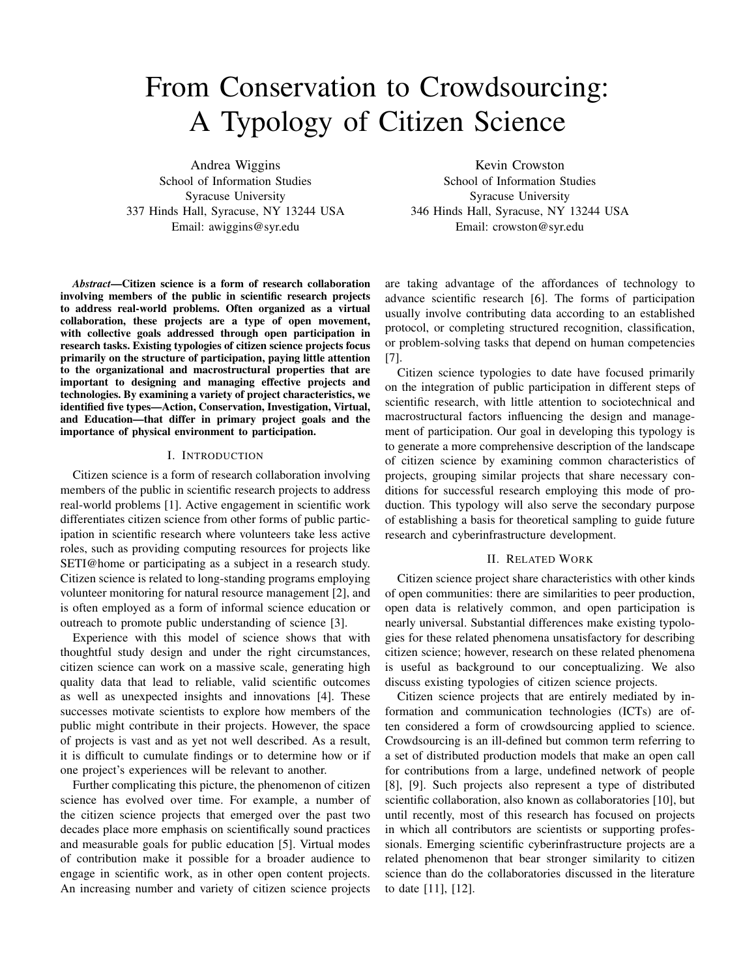# From Conservation to Crowdsourcing: A Typology of Citizen Science

Andrea Wiggins School of Information Studies Syracuse University 337 Hinds Hall, Syracuse, NY 13244 USA Email: awiggins@syr.edu

*Abstract*—Citizen science is a form of research collaboration involving members of the public in scientific research projects to address real-world problems. Often organized as a virtual collaboration, these projects are a type of open movement, with collective goals addressed through open participation in research tasks. Existing typologies of citizen science projects focus primarily on the structure of participation, paying little attention to the organizational and macrostructural properties that are important to designing and managing effective projects and technologies. By examining a variety of project characteristics, we identified five types—Action, Conservation, Investigation, Virtual, and Education—that differ in primary project goals and the importance of physical environment to participation.

## I. INTRODUCTION

Citizen science is a form of research collaboration involving members of the public in scientific research projects to address real-world problems [1]. Active engagement in scientific work differentiates citizen science from other forms of public participation in scientific research where volunteers take less active roles, such as providing computing resources for projects like SETI@home or participating as a subject in a research study. Citizen science is related to long-standing programs employing volunteer monitoring for natural resource management [2], and is often employed as a form of informal science education or outreach to promote public understanding of science [3].

Experience with this model of science shows that with thoughtful study design and under the right circumstances, citizen science can work on a massive scale, generating high quality data that lead to reliable, valid scientific outcomes as well as unexpected insights and innovations [4]. These successes motivate scientists to explore how members of the public might contribute in their projects. However, the space of projects is vast and as yet not well described. As a result, it is difficult to cumulate findings or to determine how or if one project's experiences will be relevant to another.

Further complicating this picture, the phenomenon of citizen science has evolved over time. For example, a number of the citizen science projects that emerged over the past two decades place more emphasis on scientifically sound practices and measurable goals for public education [5]. Virtual modes of contribution make it possible for a broader audience to engage in scientific work, as in other open content projects. An increasing number and variety of citizen science projects

Kevin Crowston School of Information Studies Syracuse University 346 Hinds Hall, Syracuse, NY 13244 USA Email: crowston@syr.edu

are taking advantage of the affordances of technology to advance scientific research [6]. The forms of participation usually involve contributing data according to an established protocol, or completing structured recognition, classification, or problem-solving tasks that depend on human competencies [7].

Citizen science typologies to date have focused primarily on the integration of public participation in different steps of scientific research, with little attention to sociotechnical and macrostructural factors influencing the design and management of participation. Our goal in developing this typology is to generate a more comprehensive description of the landscape of citizen science by examining common characteristics of projects, grouping similar projects that share necessary conditions for successful research employing this mode of production. This typology will also serve the secondary purpose of establishing a basis for theoretical sampling to guide future research and cyberinfrastructure development.

#### II. RELATED WORK

Citizen science project share characteristics with other kinds of open communities: there are similarities to peer production, open data is relatively common, and open participation is nearly universal. Substantial differences make existing typologies for these related phenomena unsatisfactory for describing citizen science; however, research on these related phenomena is useful as background to our conceptualizing. We also discuss existing typologies of citizen science projects.

Citizen science projects that are entirely mediated by information and communication technologies (ICTs) are often considered a form of crowdsourcing applied to science. Crowdsourcing is an ill-defined but common term referring to a set of distributed production models that make an open call for contributions from a large, undefined network of people [8], [9]. Such projects also represent a type of distributed scientific collaboration, also known as collaboratories [10], but until recently, most of this research has focused on projects in which all contributors are scientists or supporting professionals. Emerging scientific cyberinfrastructure projects are a related phenomenon that bear stronger similarity to citizen science than do the collaboratories discussed in the literature to date [11], [12].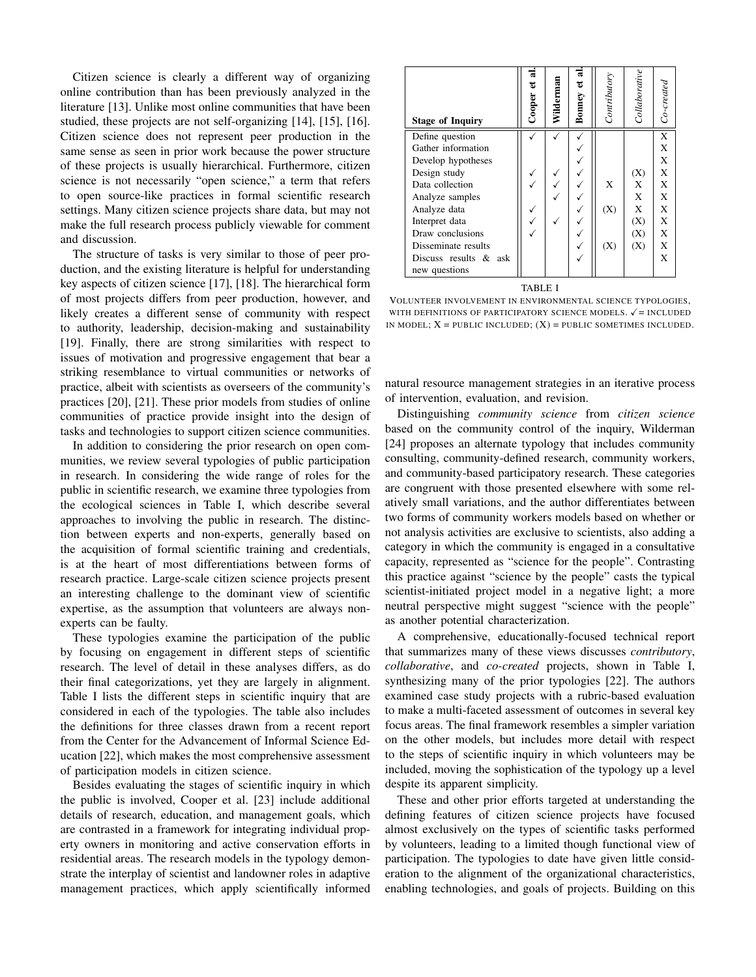Citizen science is clearly a different way of organizing online contribution than has been previously analyzed in the literature [13]. Unlike most online communities that have been studied, these projects are not self-organizing [14], [15], [16]. Citizen science does not represent peer production in the same sense as seen in prior work because the power structure of these projects is usually hierarchical. Furthermore, citizen science is not necessarily "open science," a term that refers to open source-like practices in formal scientific research settings. Many citizen science projects share data, but may not make the full research process publicly viewable for comment and discussion.

The structure of tasks is very similar to those of peer production, and the existing literature is helpful for understanding key aspects of citizen science [17], [18]. The hierarchical form of most projects differs from peer production, however, and likely creates a different sense of community with respect to authority, leadership, decision-making and sustainability [19]. Finally, there are strong similarities with respect to issues of motivation and progressive engagement that bear a striking resemblance to virtual communities or networks of practice, albeit with scientists as overseers of the community's practices [20], [21]. These prior models from studies of online communities of practice provide insight into the design of tasks and technologies to support citizen science communities.

In addition to considering the prior research on open communities, we review several typologies of public participation in research. In considering the wide range of roles for the public in scientific research, we examine three typologies from the ecological sciences in Table I, which describe several approaches to involving the public in research. The distinction between experts and non-experts, generally based on the acquisition of formal scientific training and credentials, is at the heart of most differentiations between forms of research practice. Large-scale citizen science projects present an interesting challenge to the dominant view of scientific expertise, as the assumption that volunteers are always nonexperts can be faulty.

These typologies examine the participation of the public by focusing on engagement in different steps of scientific research. The level of detail in these analyses differs, as do their final categorizations, yet they are largely in alignment. Table I lists the different steps in scientific inquiry that are considered in each of the typologies. The table also includes the definitions for three classes drawn from a recent report from the Center for the Advancement of Informal Science Education [22], which makes the most comprehensive assessment of participation models in citizen science.

Besides evaluating the stages of scientific inquiry in which the public is involved, Cooper et al. [23] include additional details of research, education, and management goals, which are contrasted in a framework for integrating individual property owners in monitoring and active conservation efforts in residential areas. The research models in the typology demonstrate the interplay of scientist and landowner roles in adaptive management practices, which apply scientifically informed

| <b>Stage of Inquiry</b>                | ಕ<br>đ<br>Cooper | Wilderman | ಸ<br>đ<br>Bonney | Contributory | Collaborative | $_{Co-created}$ |
|----------------------------------------|------------------|-----------|------------------|--------------|---------------|-----------------|
| Define question                        |                  |           |                  |              |               | X               |
| Gather information                     |                  |           |                  |              |               | X               |
| Develop hypotheses                     |                  |           |                  |              |               | X               |
| Design study                           |                  |           |                  |              | (X)           | X               |
| Data collection                        |                  |           |                  | X            | X             | X               |
| Analyze samples                        |                  |           |                  |              | X             | X               |
| Analyze data                           |                  |           |                  | (X)          | X             | X               |
| Interpret data                         |                  |           |                  |              | (X)           | X               |
| Draw conclusions                       |                  |           |                  |              | (X)           | X               |
| Disseminate results                    |                  |           |                  | (X)          | (X)           | X               |
| Discuss results & ask<br>new questions |                  |           |                  |              |               | X               |

TABLE I

VOLUNTEER INVOLVEMENT IN ENVIRONMENTAL SCIENCE TYPOLOGIES, WITH DEFINITIONS OF PARTICIPATORY SCIENCE MODELS.  $\sqrt{=}$  INCLUDED IN MODEL;  $X =$  PUBLIC INCLUDED;  $(X) =$  PUBLIC SOMETIMES INCLUDED.

natural resource management strategies in an iterative process of intervention, evaluation, and revision.

Distinguishing *community science* from *citizen science* based on the community control of the inquiry, Wilderman [24] proposes an alternate typology that includes community consulting, community-defined research, community workers, and community-based participatory research. These categories are congruent with those presented elsewhere with some relatively small variations, and the author differentiates between two forms of community workers models based on whether or not analysis activities are exclusive to scientists, also adding a category in which the community is engaged in a consultative capacity, represented as "science for the people". Contrasting this practice against "science by the people" casts the typical scientist-initiated project model in a negative light; a more neutral perspective might suggest "science with the people" as another potential characterization.

A comprehensive, educationally-focused technical report that summarizes many of these views discusses *contributory*, *collaborative*, and *co-created* projects, shown in Table I, synthesizing many of the prior typologies [22]. The authors examined case study projects with a rubric-based evaluation to make a multi-faceted assessment of outcomes in several key focus areas. The final framework resembles a simpler variation on the other models, but includes more detail with respect to the steps of scientific inquiry in which volunteers may be included, moving the sophistication of the typology up a level despite its apparent simplicity.

These and other prior efforts targeted at understanding the defining features of citizen science projects have focused almost exclusively on the types of scientific tasks performed by volunteers, leading to a limited though functional view of participation. The typologies to date have given little consideration to the alignment of the organizational characteristics, enabling technologies, and goals of projects. Building on this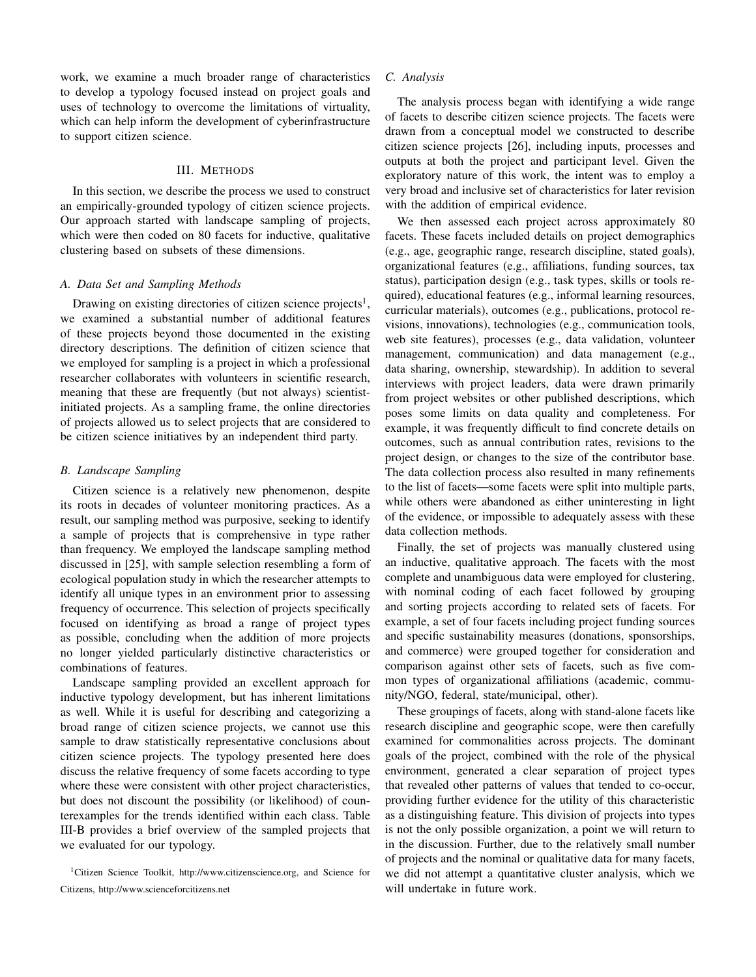work, we examine a much broader range of characteristics to develop a typology focused instead on project goals and uses of technology to overcome the limitations of virtuality, which can help inform the development of cyberinfrastructure to support citizen science.

# III. METHODS

In this section, we describe the process we used to construct an empirically-grounded typology of citizen science projects. Our approach started with landscape sampling of projects, which were then coded on 80 facets for inductive, qualitative clustering based on subsets of these dimensions.

## *A. Data Set and Sampling Methods*

Drawing on existing directories of citizen science projects<sup>1</sup>, we examined a substantial number of additional features of these projects beyond those documented in the existing directory descriptions. The definition of citizen science that we employed for sampling is a project in which a professional researcher collaborates with volunteers in scientific research, meaning that these are frequently (but not always) scientistinitiated projects. As a sampling frame, the online directories of projects allowed us to select projects that are considered to be citizen science initiatives by an independent third party.

#### *B. Landscape Sampling*

Citizen science is a relatively new phenomenon, despite its roots in decades of volunteer monitoring practices. As a result, our sampling method was purposive, seeking to identify a sample of projects that is comprehensive in type rather than frequency. We employed the landscape sampling method discussed in [25], with sample selection resembling a form of ecological population study in which the researcher attempts to identify all unique types in an environment prior to assessing frequency of occurrence. This selection of projects specifically focused on identifying as broad a range of project types as possible, concluding when the addition of more projects no longer yielded particularly distinctive characteristics or combinations of features.

Landscape sampling provided an excellent approach for inductive typology development, but has inherent limitations as well. While it is useful for describing and categorizing a broad range of citizen science projects, we cannot use this sample to draw statistically representative conclusions about citizen science projects. The typology presented here does discuss the relative frequency of some facets according to type where these were consistent with other project characteristics, but does not discount the possibility (or likelihood) of counterexamples for the trends identified within each class. Table III-B provides a brief overview of the sampled projects that we evaluated for our typology.

#### *C. Analysis*

The analysis process began with identifying a wide range of facets to describe citizen science projects. The facets were drawn from a conceptual model we constructed to describe citizen science projects [26], including inputs, processes and outputs at both the project and participant level. Given the exploratory nature of this work, the intent was to employ a very broad and inclusive set of characteristics for later revision with the addition of empirical evidence.

We then assessed each project across approximately 80 facets. These facets included details on project demographics (e.g., age, geographic range, research discipline, stated goals), organizational features (e.g., affiliations, funding sources, tax status), participation design (e.g., task types, skills or tools required), educational features (e.g., informal learning resources, curricular materials), outcomes (e.g., publications, protocol revisions, innovations), technologies (e.g., communication tools, web site features), processes (e.g., data validation, volunteer management, communication) and data management (e.g., data sharing, ownership, stewardship). In addition to several interviews with project leaders, data were drawn primarily from project websites or other published descriptions, which poses some limits on data quality and completeness. For example, it was frequently difficult to find concrete details on outcomes, such as annual contribution rates, revisions to the project design, or changes to the size of the contributor base. The data collection process also resulted in many refinements to the list of facets—some facets were split into multiple parts, while others were abandoned as either uninteresting in light of the evidence, or impossible to adequately assess with these data collection methods.

Finally, the set of projects was manually clustered using an inductive, qualitative approach. The facets with the most complete and unambiguous data were employed for clustering, with nominal coding of each facet followed by grouping and sorting projects according to related sets of facets. For example, a set of four facets including project funding sources and specific sustainability measures (donations, sponsorships, and commerce) were grouped together for consideration and comparison against other sets of facets, such as five common types of organizational affiliations (academic, community/NGO, federal, state/municipal, other).

These groupings of facets, along with stand-alone facets like research discipline and geographic scope, were then carefully examined for commonalities across projects. The dominant goals of the project, combined with the role of the physical environment, generated a clear separation of project types that revealed other patterns of values that tended to co-occur, providing further evidence for the utility of this characteristic as a distinguishing feature. This division of projects into types is not the only possible organization, a point we will return to in the discussion. Further, due to the relatively small number of projects and the nominal or qualitative data for many facets, we did not attempt a quantitative cluster analysis, which we will undertake in future work.

<sup>&</sup>lt;sup>1</sup>Citizen Science Toolkit, http://www.citizenscience.org, and Science for Citizens, http://www.scienceforcitizens.net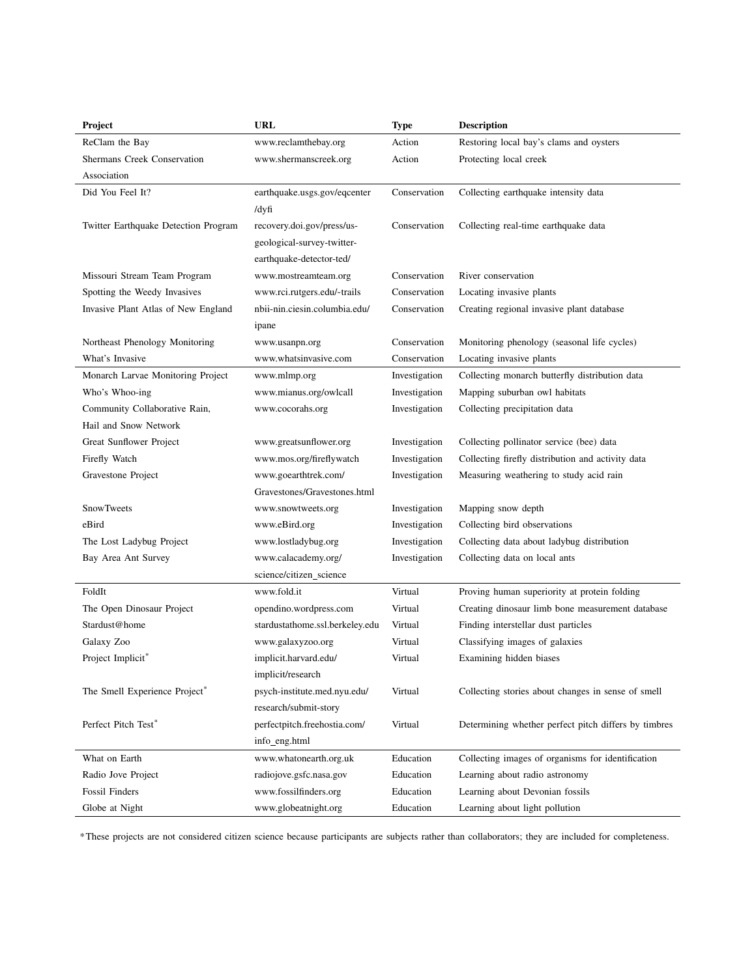| Project                              | <b>URL</b>                      | <b>Type</b>   | <b>Description</b>                                   |
|--------------------------------------|---------------------------------|---------------|------------------------------------------------------|
| ReClam the Bay                       | www.reclamthebay.org            | Action        | Restoring local bay's clams and oysters              |
| Shermans Creek Conservation          | www.shermanscreek.org           | Action        | Protecting local creek                               |
| Association                          |                                 |               |                                                      |
| Did You Feel It?                     | earthquake.usgs.gov/eqcenter    | Conservation  | Collecting earthquake intensity data                 |
|                                      | /dyfi                           |               |                                                      |
| Twitter Earthquake Detection Program | recovery.doi.gov/press/us-      | Conservation  | Collecting real-time earthquake data                 |
|                                      | geological-survey-twitter-      |               |                                                      |
|                                      | earthquake-detector-ted/        |               |                                                      |
| Missouri Stream Team Program         | www.mostreamteam.org            | Conservation  | River conservation                                   |
| Spotting the Weedy Invasives         | www.rci.rutgers.edu/~trails     | Conservation  | Locating invasive plants                             |
| Invasive Plant Atlas of New England  | nbii-nin.ciesin.columbia.edu/   | Conservation  | Creating regional invasive plant database            |
|                                      | ipane                           |               |                                                      |
| Northeast Phenology Monitoring       | www.usanpn.org                  | Conservation  | Monitoring phenology (seasonal life cycles)          |
| What's Invasive                      | www.whatsinvasive.com           | Conservation  | Locating invasive plants                             |
| Monarch Larvae Monitoring Project    | www.mlmp.org                    | Investigation | Collecting monarch butterfly distribution data       |
| Who's Whoo-ing                       | www.mianus.org/owlcall          | Investigation | Mapping suburban owl habitats                        |
| Community Collaborative Rain,        | www.cocorahs.org                | Investigation | Collecting precipitation data                        |
| Hail and Snow Network                |                                 |               |                                                      |
| Great Sunflower Project              | www.greatsunflower.org          | Investigation | Collecting pollinator service (bee) data             |
| Firefly Watch                        | www.mos.org/fireflywatch        | Investigation | Collecting firefly distribution and activity data    |
| Gravestone Project                   | www.goearthtrek.com/            | Investigation | Measuring weathering to study acid rain              |
|                                      | Gravestones/Gravestones.html    |               |                                                      |
| <b>SnowTweets</b>                    | www.snowtweets.org              | Investigation | Mapping snow depth                                   |
| eBird                                | www.eBird.org                   | Investigation | Collecting bird observations                         |
| The Lost Ladybug Project             | www.lostladybug.org             | Investigation | Collecting data about ladybug distribution           |
| Bay Area Ant Survey                  | www.calacademy.org/             | Investigation | Collecting data on local ants                        |
|                                      | science/citizen_science         |               |                                                      |
| FoldIt                               | www.fold.it                     | Virtual       | Proving human superiority at protein folding         |
| The Open Dinosaur Project            | opendino.wordpress.com          | Virtual       | Creating dinosaur limb bone measurement database     |
| Stardust@home                        | stardustathome.ssl.berkeley.edu | Virtual       | Finding interstellar dust particles                  |
| Galaxy Zoo                           | www.galaxyzoo.org               | Virtual       | Classifying images of galaxies                       |
| Project Implicit <sup>*</sup>        | implicit.harvard.edu/           | Virtual       | Examining hidden biases                              |
|                                      | implicit/research               |               |                                                      |
| The Smell Experience Project*        | psych-institute.med.nyu.edu/    | Virtual       | Collecting stories about changes in sense of smell   |
|                                      | research/submit-story           |               |                                                      |
| Perfect Pitch Test*                  | perfectpitch.freehostia.com/    | Virtual       | Determining whether perfect pitch differs by timbres |
|                                      | info_eng.html                   |               |                                                      |
| What on Earth                        | www.whatonearth.org.uk          | Education     | Collecting images of organisms for identification    |
| Radio Jove Project                   | radiojove.gsfc.nasa.gov         | Education     | Learning about radio astronomy                       |
| Fossil Finders                       | www.fossilfinders.org           | Education     | Learning about Devonian fossils                      |
| Globe at Night                       | www.globeatnight.org            | Education     | Learning about light pollution                       |

*\** These projects are not considered citizen science because participants are subjects rather than collaborators; they are included for completeness.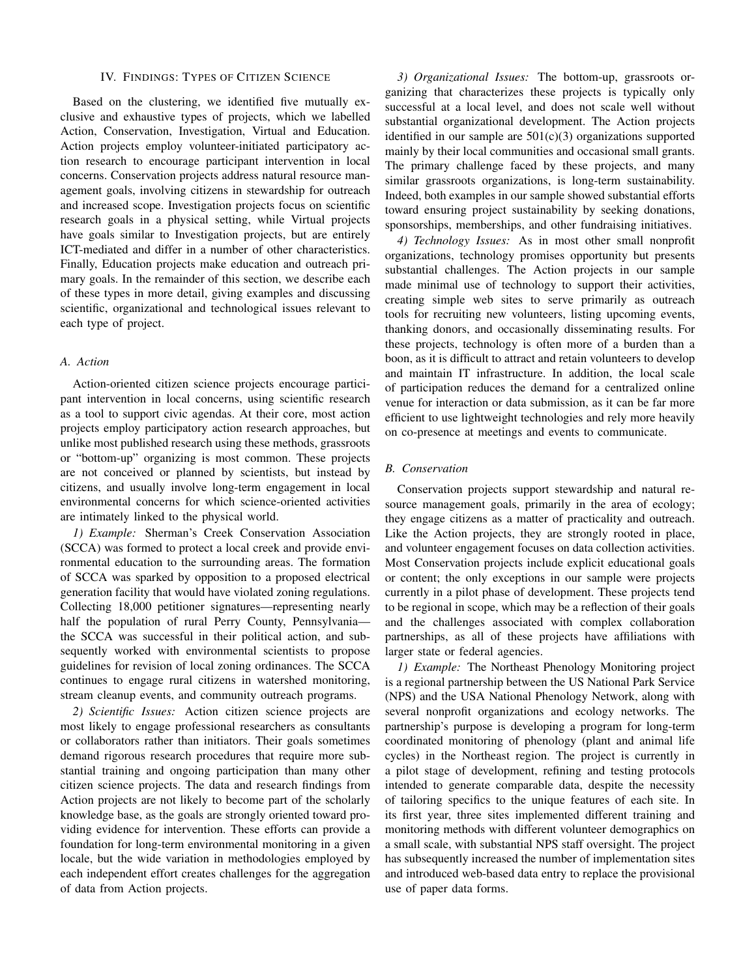#### IV. FINDINGS: TYPES OF CITIZEN SCIENCE

Based on the clustering, we identified five mutually exclusive and exhaustive types of projects, which we labelled Action, Conservation, Investigation, Virtual and Education. Action projects employ volunteer-initiated participatory action research to encourage participant intervention in local concerns. Conservation projects address natural resource management goals, involving citizens in stewardship for outreach and increased scope. Investigation projects focus on scientific research goals in a physical setting, while Virtual projects have goals similar to Investigation projects, but are entirely ICT-mediated and differ in a number of other characteristics. Finally, Education projects make education and outreach primary goals. In the remainder of this section, we describe each of these types in more detail, giving examples and discussing scientific, organizational and technological issues relevant to each type of project.

# *A. Action*

Action-oriented citizen science projects encourage participant intervention in local concerns, using scientific research as a tool to support civic agendas. At their core, most action projects employ participatory action research approaches, but unlike most published research using these methods, grassroots or "bottom-up" organizing is most common. These projects are not conceived or planned by scientists, but instead by citizens, and usually involve long-term engagement in local environmental concerns for which science-oriented activities are intimately linked to the physical world.

*1) Example:* Sherman's Creek Conservation Association (SCCA) was formed to protect a local creek and provide environmental education to the surrounding areas. The formation of SCCA was sparked by opposition to a proposed electrical generation facility that would have violated zoning regulations. Collecting 18,000 petitioner signatures—representing nearly half the population of rural Perry County, Pennsylvania the SCCA was successful in their political action, and subsequently worked with environmental scientists to propose guidelines for revision of local zoning ordinances. The SCCA continues to engage rural citizens in watershed monitoring, stream cleanup events, and community outreach programs.

*2) Scientific Issues:* Action citizen science projects are most likely to engage professional researchers as consultants or collaborators rather than initiators. Their goals sometimes demand rigorous research procedures that require more substantial training and ongoing participation than many other citizen science projects. The data and research findings from Action projects are not likely to become part of the scholarly knowledge base, as the goals are strongly oriented toward providing evidence for intervention. These efforts can provide a foundation for long-term environmental monitoring in a given locale, but the wide variation in methodologies employed by each independent effort creates challenges for the aggregation of data from Action projects.

*3) Organizational Issues:* The bottom-up, grassroots organizing that characterizes these projects is typically only successful at a local level, and does not scale well without substantial organizational development. The Action projects identified in our sample are 501(c)(3) organizations supported mainly by their local communities and occasional small grants. The primary challenge faced by these projects, and many similar grassroots organizations, is long-term sustainability. Indeed, both examples in our sample showed substantial efforts toward ensuring project sustainability by seeking donations, sponsorships, memberships, and other fundraising initiatives.

*4) Technology Issues:* As in most other small nonprofit organizations, technology promises opportunity but presents substantial challenges. The Action projects in our sample made minimal use of technology to support their activities, creating simple web sites to serve primarily as outreach tools for recruiting new volunteers, listing upcoming events, thanking donors, and occasionally disseminating results. For these projects, technology is often more of a burden than a boon, as it is difficult to attract and retain volunteers to develop and maintain IT infrastructure. In addition, the local scale of participation reduces the demand for a centralized online venue for interaction or data submission, as it can be far more efficient to use lightweight technologies and rely more heavily on co-presence at meetings and events to communicate.

# *B. Conservation*

Conservation projects support stewardship and natural resource management goals, primarily in the area of ecology; they engage citizens as a matter of practicality and outreach. Like the Action projects, they are strongly rooted in place, and volunteer engagement focuses on data collection activities. Most Conservation projects include explicit educational goals or content; the only exceptions in our sample were projects currently in a pilot phase of development. These projects tend to be regional in scope, which may be a reflection of their goals and the challenges associated with complex collaboration partnerships, as all of these projects have affiliations with larger state or federal agencies.

*1) Example:* The Northeast Phenology Monitoring project is a regional partnership between the US National Park Service (NPS) and the USA National Phenology Network, along with several nonprofit organizations and ecology networks. The partnership's purpose is developing a program for long-term coordinated monitoring of phenology (plant and animal life cycles) in the Northeast region. The project is currently in a pilot stage of development, refining and testing protocols intended to generate comparable data, despite the necessity of tailoring specifics to the unique features of each site. In its first year, three sites implemented different training and monitoring methods with different volunteer demographics on a small scale, with substantial NPS staff oversight. The project has subsequently increased the number of implementation sites and introduced web-based data entry to replace the provisional use of paper data forms.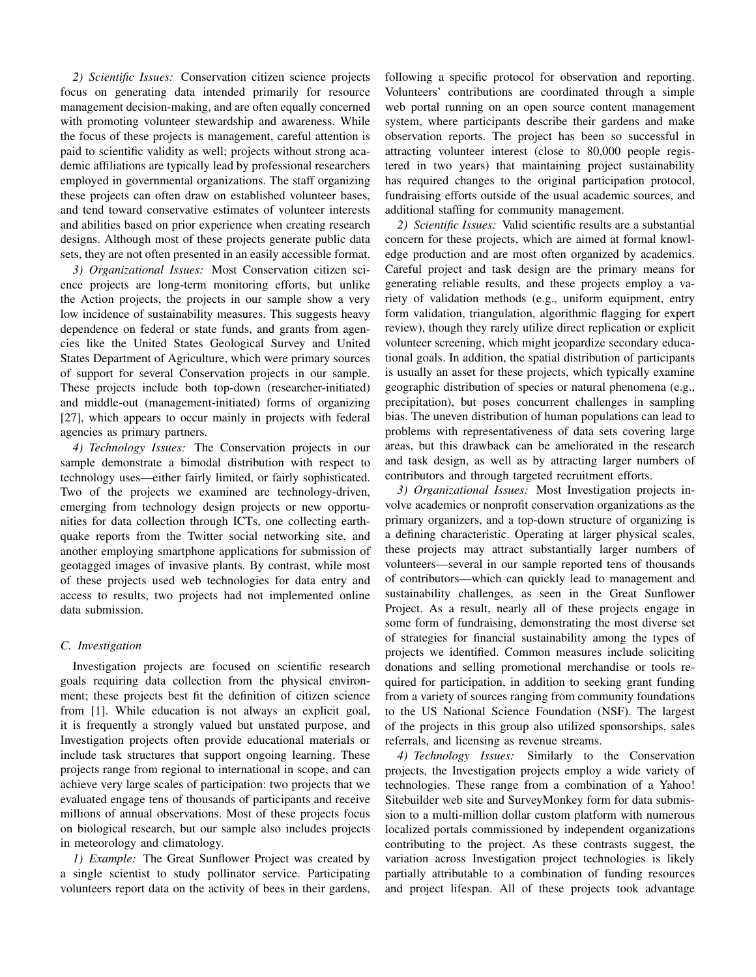*2) Scientific Issues:* Conservation citizen science projects focus on generating data intended primarily for resource management decision-making, and are often equally concerned with promoting volunteer stewardship and awareness. While the focus of these projects is management, careful attention is paid to scientific validity as well; projects without strong academic affiliations are typically lead by professional researchers employed in governmental organizations. The staff organizing these projects can often draw on established volunteer bases, and tend toward conservative estimates of volunteer interests and abilities based on prior experience when creating research designs. Although most of these projects generate public data sets, they are not often presented in an easily accessible format.

*3) Organizational Issues:* Most Conservation citizen science projects are long-term monitoring efforts, but unlike the Action projects, the projects in our sample show a very low incidence of sustainability measures. This suggests heavy dependence on federal or state funds, and grants from agencies like the United States Geological Survey and United States Department of Agriculture, which were primary sources of support for several Conservation projects in our sample. These projects include both top-down (researcher-initiated) and middle-out (management-initiated) forms of organizing [27], which appears to occur mainly in projects with federal agencies as primary partners.

*4) Technology Issues:* The Conservation projects in our sample demonstrate a bimodal distribution with respect to technology uses—either fairly limited, or fairly sophisticated. Two of the projects we examined are technology-driven, emerging from technology design projects or new opportunities for data collection through ICTs, one collecting earthquake reports from the Twitter social networking site, and another employing smartphone applications for submission of geotagged images of invasive plants. By contrast, while most of these projects used web technologies for data entry and access to results, two projects had not implemented online data submission.

# *C. Investigation*

Investigation projects are focused on scientific research goals requiring data collection from the physical environment; these projects best fit the definition of citizen science from [1]. While education is not always an explicit goal, it is frequently a strongly valued but unstated purpose, and Investigation projects often provide educational materials or include task structures that support ongoing learning. These projects range from regional to international in scope, and can achieve very large scales of participation: two projects that we evaluated engage tens of thousands of participants and receive millions of annual observations. Most of these projects focus on biological research, but our sample also includes projects in meteorology and climatology.

*1) Example:* The Great Sunflower Project was created by a single scientist to study pollinator service. Participating volunteers report data on the activity of bees in their gardens, following a specific protocol for observation and reporting. Volunteers' contributions are coordinated through a simple web portal running on an open source content management system, where participants describe their gardens and make observation reports. The project has been so successful in attracting volunteer interest (close to 80,000 people registered in two years) that maintaining project sustainability has required changes to the original participation protocol, fundraising efforts outside of the usual academic sources, and additional staffing for community management.

*2) Scientific Issues:* Valid scientific results are a substantial concern for these projects, which are aimed at formal knowledge production and are most often organized by academics. Careful project and task design are the primary means for generating reliable results, and these projects employ a variety of validation methods (e.g., uniform equipment, entry form validation, triangulation, algorithmic flagging for expert review), though they rarely utilize direct replication or explicit volunteer screening, which might jeopardize secondary educational goals. In addition, the spatial distribution of participants is usually an asset for these projects, which typically examine geographic distribution of species or natural phenomena (e.g., precipitation), but poses concurrent challenges in sampling bias. The uneven distribution of human populations can lead to problems with representativeness of data sets covering large areas, but this drawback can be ameliorated in the research and task design, as well as by attracting larger numbers of contributors and through targeted recruitment efforts.

*3) Organizational Issues:* Most Investigation projects involve academics or nonprofit conservation organizations as the primary organizers, and a top-down structure of organizing is a defining characteristic. Operating at larger physical scales, these projects may attract substantially larger numbers of volunteers—several in our sample reported tens of thousands of contributors—which can quickly lead to management and sustainability challenges, as seen in the Great Sunflower Project. As a result, nearly all of these projects engage in some form of fundraising, demonstrating the most diverse set of strategies for financial sustainability among the types of projects we identified. Common measures include soliciting donations and selling promotional merchandise or tools required for participation, in addition to seeking grant funding from a variety of sources ranging from community foundations to the US National Science Foundation (NSF). The largest of the projects in this group also utilized sponsorships, sales referrals, and licensing as revenue streams.

*4) Technology Issues:* Similarly to the Conservation projects, the Investigation projects employ a wide variety of technologies. These range from a combination of a Yahoo! Sitebuilder web site and SurveyMonkey form for data submission to a multi-million dollar custom platform with numerous localized portals commissioned by independent organizations contributing to the project. As these contrasts suggest, the variation across Investigation project technologies is likely partially attributable to a combination of funding resources and project lifespan. All of these projects took advantage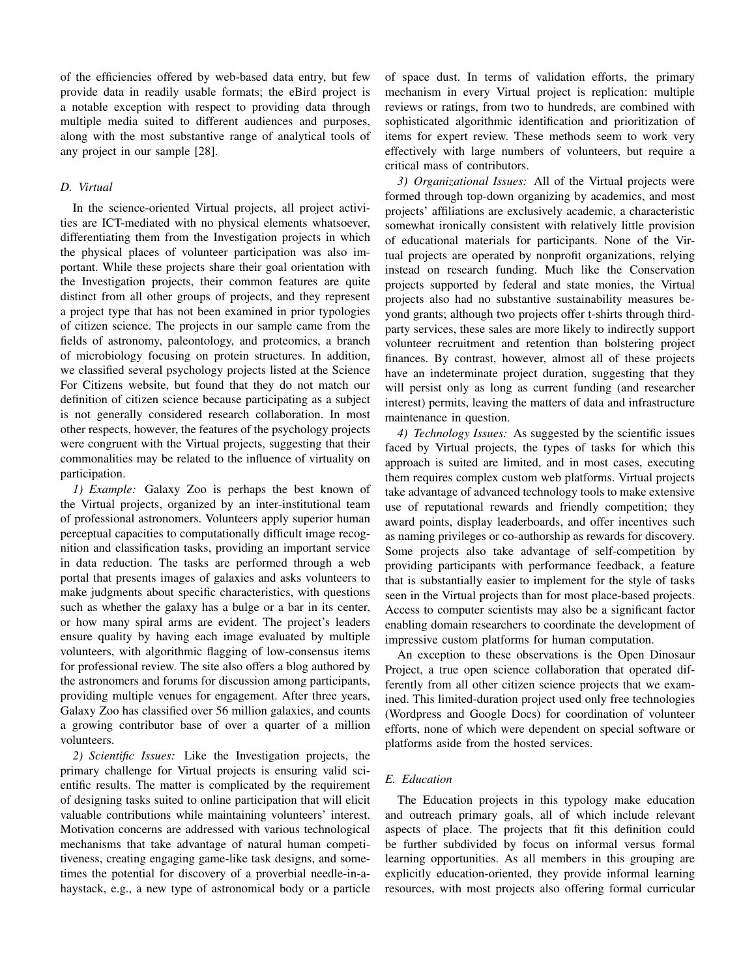of the efficiencies offered by web-based data entry, but few provide data in readily usable formats; the eBird project is a notable exception with respect to providing data through multiple media suited to different audiences and purposes, along with the most substantive range of analytical tools of any project in our sample [28].

## *D. Virtual*

In the science-oriented Virtual projects, all project activities are ICT-mediated with no physical elements whatsoever, differentiating them from the Investigation projects in which the physical places of volunteer participation was also important. While these projects share their goal orientation with the Investigation projects, their common features are quite distinct from all other groups of projects, and they represent a project type that has not been examined in prior typologies of citizen science. The projects in our sample came from the fields of astronomy, paleontology, and proteomics, a branch of microbiology focusing on protein structures. In addition, we classified several psychology projects listed at the Science For Citizens website, but found that they do not match our definition of citizen science because participating as a subject is not generally considered research collaboration. In most other respects, however, the features of the psychology projects were congruent with the Virtual projects, suggesting that their commonalities may be related to the influence of virtuality on participation.

*1) Example:* Galaxy Zoo is perhaps the best known of the Virtual projects, organized by an inter-institutional team of professional astronomers. Volunteers apply superior human perceptual capacities to computationally difficult image recognition and classification tasks, providing an important service in data reduction. The tasks are performed through a web portal that presents images of galaxies and asks volunteers to make judgments about specific characteristics, with questions such as whether the galaxy has a bulge or a bar in its center, or how many spiral arms are evident. The project's leaders ensure quality by having each image evaluated by multiple volunteers, with algorithmic flagging of low-consensus items for professional review. The site also offers a blog authored by the astronomers and forums for discussion among participants, providing multiple venues for engagement. After three years, Galaxy Zoo has classified over 56 million galaxies, and counts a growing contributor base of over a quarter of a million volunteers.

*2) Scientific Issues:* Like the Investigation projects, the primary challenge for Virtual projects is ensuring valid scientific results. The matter is complicated by the requirement of designing tasks suited to online participation that will elicit valuable contributions while maintaining volunteers' interest. Motivation concerns are addressed with various technological mechanisms that take advantage of natural human competitiveness, creating engaging game-like task designs, and sometimes the potential for discovery of a proverbial needle-in-ahaystack, e.g., a new type of astronomical body or a particle of space dust. In terms of validation efforts, the primary mechanism in every Virtual project is replication: multiple reviews or ratings, from two to hundreds, are combined with sophisticated algorithmic identification and prioritization of items for expert review. These methods seem to work very effectively with large numbers of volunteers, but require a critical mass of contributors.

*3) Organizational Issues:* All of the Virtual projects were formed through top-down organizing by academics, and most projects' affiliations are exclusively academic, a characteristic somewhat ironically consistent with relatively little provision of educational materials for participants. None of the Virtual projects are operated by nonprofit organizations, relying instead on research funding. Much like the Conservation projects supported by federal and state monies, the Virtual projects also had no substantive sustainability measures beyond grants; although two projects offer t-shirts through thirdparty services, these sales are more likely to indirectly support volunteer recruitment and retention than bolstering project finances. By contrast, however, almost all of these projects have an indeterminate project duration, suggesting that they will persist only as long as current funding (and researcher interest) permits, leaving the matters of data and infrastructure maintenance in question.

*4) Technology Issues:* As suggested by the scientific issues faced by Virtual projects, the types of tasks for which this approach is suited are limited, and in most cases, executing them requires complex custom web platforms. Virtual projects take advantage of advanced technology tools to make extensive use of reputational rewards and friendly competition; they award points, display leaderboards, and offer incentives such as naming privileges or co-authorship as rewards for discovery. Some projects also take advantage of self-competition by providing participants with performance feedback, a feature that is substantially easier to implement for the style of tasks seen in the Virtual projects than for most place-based projects. Access to computer scientists may also be a significant factor enabling domain researchers to coordinate the development of impressive custom platforms for human computation.

An exception to these observations is the Open Dinosaur Project, a true open science collaboration that operated differently from all other citizen science projects that we examined. This limited-duration project used only free technologies (Wordpress and Google Docs) for coordination of volunteer efforts, none of which were dependent on special software or platforms aside from the hosted services.

# *E. Education*

The Education projects in this typology make education and outreach primary goals, all of which include relevant aspects of place. The projects that fit this definition could be further subdivided by focus on informal versus formal learning opportunities. As all members in this grouping are explicitly education-oriented, they provide informal learning resources, with most projects also offering formal curricular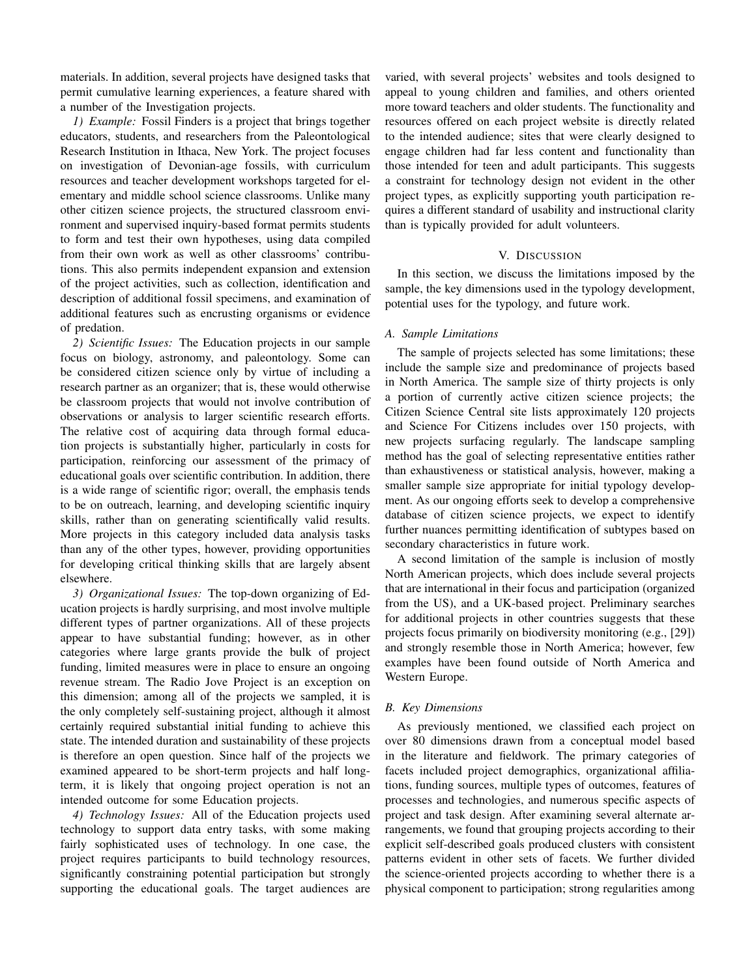materials. In addition, several projects have designed tasks that permit cumulative learning experiences, a feature shared with a number of the Investigation projects.

*1) Example:* Fossil Finders is a project that brings together educators, students, and researchers from the Paleontological Research Institution in Ithaca, New York. The project focuses on investigation of Devonian-age fossils, with curriculum resources and teacher development workshops targeted for elementary and middle school science classrooms. Unlike many other citizen science projects, the structured classroom environment and supervised inquiry-based format permits students to form and test their own hypotheses, using data compiled from their own work as well as other classrooms' contributions. This also permits independent expansion and extension of the project activities, such as collection, identification and description of additional fossil specimens, and examination of additional features such as encrusting organisms or evidence of predation.

*2) Scientific Issues:* The Education projects in our sample focus on biology, astronomy, and paleontology. Some can be considered citizen science only by virtue of including a research partner as an organizer; that is, these would otherwise be classroom projects that would not involve contribution of observations or analysis to larger scientific research efforts. The relative cost of acquiring data through formal education projects is substantially higher, particularly in costs for participation, reinforcing our assessment of the primacy of educational goals over scientific contribution. In addition, there is a wide range of scientific rigor; overall, the emphasis tends to be on outreach, learning, and developing scientific inquiry skills, rather than on generating scientifically valid results. More projects in this category included data analysis tasks than any of the other types, however, providing opportunities for developing critical thinking skills that are largely absent elsewhere.

*3) Organizational Issues:* The top-down organizing of Education projects is hardly surprising, and most involve multiple different types of partner organizations. All of these projects appear to have substantial funding; however, as in other categories where large grants provide the bulk of project funding, limited measures were in place to ensure an ongoing revenue stream. The Radio Jove Project is an exception on this dimension; among all of the projects we sampled, it is the only completely self-sustaining project, although it almost certainly required substantial initial funding to achieve this state. The intended duration and sustainability of these projects is therefore an open question. Since half of the projects we examined appeared to be short-term projects and half longterm, it is likely that ongoing project operation is not an intended outcome for some Education projects.

*4) Technology Issues:* All of the Education projects used technology to support data entry tasks, with some making fairly sophisticated uses of technology. In one case, the project requires participants to build technology resources, significantly constraining potential participation but strongly supporting the educational goals. The target audiences are varied, with several projects' websites and tools designed to appeal to young children and families, and others oriented more toward teachers and older students. The functionality and resources offered on each project website is directly related to the intended audience; sites that were clearly designed to engage children had far less content and functionality than those intended for teen and adult participants. This suggests a constraint for technology design not evident in the other project types, as explicitly supporting youth participation requires a different standard of usability and instructional clarity than is typically provided for adult volunteers.

# V. DISCUSSION

In this section, we discuss the limitations imposed by the sample, the key dimensions used in the typology development, potential uses for the typology, and future work.

## *A. Sample Limitations*

The sample of projects selected has some limitations; these include the sample size and predominance of projects based in North America. The sample size of thirty projects is only a portion of currently active citizen science projects; the Citizen Science Central site lists approximately 120 projects and Science For Citizens includes over 150 projects, with new projects surfacing regularly. The landscape sampling method has the goal of selecting representative entities rather than exhaustiveness or statistical analysis, however, making a smaller sample size appropriate for initial typology development. As our ongoing efforts seek to develop a comprehensive database of citizen science projects, we expect to identify further nuances permitting identification of subtypes based on secondary characteristics in future work.

A second limitation of the sample is inclusion of mostly North American projects, which does include several projects that are international in their focus and participation (organized from the US), and a UK-based project. Preliminary searches for additional projects in other countries suggests that these projects focus primarily on biodiversity monitoring (e.g., [29]) and strongly resemble those in North America; however, few examples have been found outside of North America and Western Europe.

## *B. Key Dimensions*

As previously mentioned, we classified each project on over 80 dimensions drawn from a conceptual model based in the literature and fieldwork. The primary categories of facets included project demographics, organizational affiliations, funding sources, multiple types of outcomes, features of processes and technologies, and numerous specific aspects of project and task design. After examining several alternate arrangements, we found that grouping projects according to their explicit self-described goals produced clusters with consistent patterns evident in other sets of facets. We further divided the science-oriented projects according to whether there is a physical component to participation; strong regularities among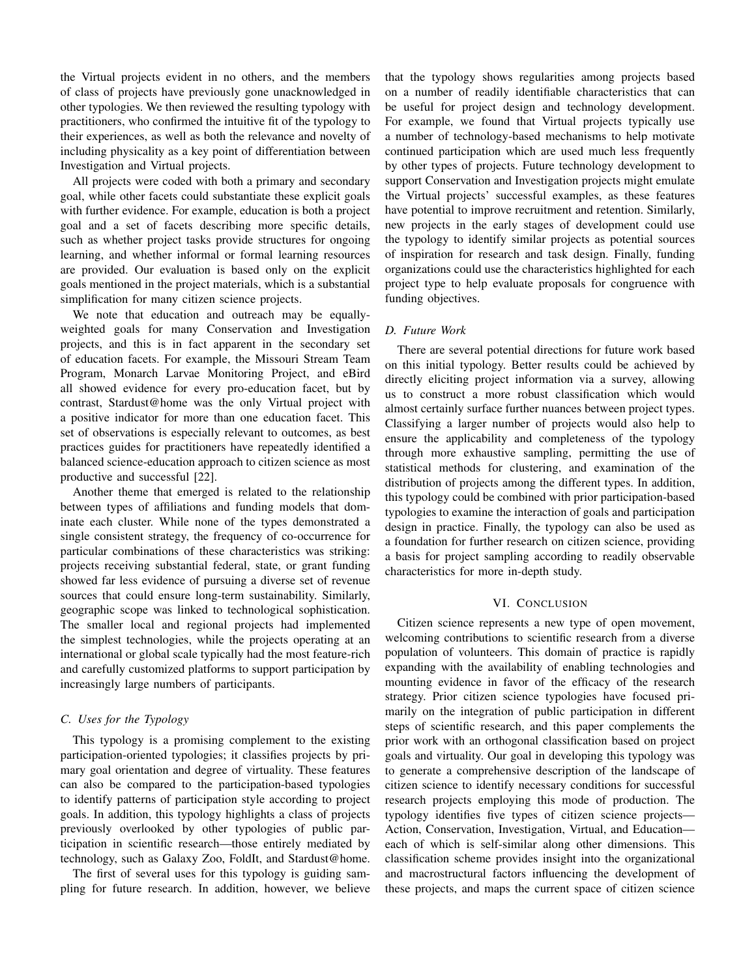the Virtual projects evident in no others, and the members of class of projects have previously gone unacknowledged in other typologies. We then reviewed the resulting typology with practitioners, who confirmed the intuitive fit of the typology to their experiences, as well as both the relevance and novelty of including physicality as a key point of differentiation between Investigation and Virtual projects.

All projects were coded with both a primary and secondary goal, while other facets could substantiate these explicit goals with further evidence. For example, education is both a project goal and a set of facets describing more specific details, such as whether project tasks provide structures for ongoing learning, and whether informal or formal learning resources are provided. Our evaluation is based only on the explicit goals mentioned in the project materials, which is a substantial simplification for many citizen science projects.

We note that education and outreach may be equallyweighted goals for many Conservation and Investigation projects, and this is in fact apparent in the secondary set of education facets. For example, the Missouri Stream Team Program, Monarch Larvae Monitoring Project, and eBird all showed evidence for every pro-education facet, but by contrast, Stardust@home was the only Virtual project with a positive indicator for more than one education facet. This set of observations is especially relevant to outcomes, as best practices guides for practitioners have repeatedly identified a balanced science-education approach to citizen science as most productive and successful [22].

Another theme that emerged is related to the relationship between types of affiliations and funding models that dominate each cluster. While none of the types demonstrated a single consistent strategy, the frequency of co-occurrence for particular combinations of these characteristics was striking: projects receiving substantial federal, state, or grant funding showed far less evidence of pursuing a diverse set of revenue sources that could ensure long-term sustainability. Similarly, geographic scope was linked to technological sophistication. The smaller local and regional projects had implemented the simplest technologies, while the projects operating at an international or global scale typically had the most feature-rich and carefully customized platforms to support participation by increasingly large numbers of participants.

# *C. Uses for the Typology*

This typology is a promising complement to the existing participation-oriented typologies; it classifies projects by primary goal orientation and degree of virtuality. These features can also be compared to the participation-based typologies to identify patterns of participation style according to project goals. In addition, this typology highlights a class of projects previously overlooked by other typologies of public participation in scientific research—those entirely mediated by technology, such as Galaxy Zoo, FoldIt, and Stardust@home.

The first of several uses for this typology is guiding sampling for future research. In addition, however, we believe that the typology shows regularities among projects based on a number of readily identifiable characteristics that can be useful for project design and technology development. For example, we found that Virtual projects typically use a number of technology-based mechanisms to help motivate continued participation which are used much less frequently by other types of projects. Future technology development to support Conservation and Investigation projects might emulate the Virtual projects' successful examples, as these features have potential to improve recruitment and retention. Similarly, new projects in the early stages of development could use the typology to identify similar projects as potential sources of inspiration for research and task design. Finally, funding organizations could use the characteristics highlighted for each project type to help evaluate proposals for congruence with funding objectives.

## *D. Future Work*

There are several potential directions for future work based on this initial typology. Better results could be achieved by directly eliciting project information via a survey, allowing us to construct a more robust classification which would almost certainly surface further nuances between project types. Classifying a larger number of projects would also help to ensure the applicability and completeness of the typology through more exhaustive sampling, permitting the use of statistical methods for clustering, and examination of the distribution of projects among the different types. In addition, this typology could be combined with prior participation-based typologies to examine the interaction of goals and participation design in practice. Finally, the typology can also be used as a foundation for further research on citizen science, providing a basis for project sampling according to readily observable characteristics for more in-depth study.

## VI. CONCLUSION

Citizen science represents a new type of open movement, welcoming contributions to scientific research from a diverse population of volunteers. This domain of practice is rapidly expanding with the availability of enabling technologies and mounting evidence in favor of the efficacy of the research strategy. Prior citizen science typologies have focused primarily on the integration of public participation in different steps of scientific research, and this paper complements the prior work with an orthogonal classification based on project goals and virtuality. Our goal in developing this typology was to generate a comprehensive description of the landscape of citizen science to identify necessary conditions for successful research projects employing this mode of production. The typology identifies five types of citizen science projects— Action, Conservation, Investigation, Virtual, and Education each of which is self-similar along other dimensions. This classification scheme provides insight into the organizational and macrostructural factors influencing the development of these projects, and maps the current space of citizen science